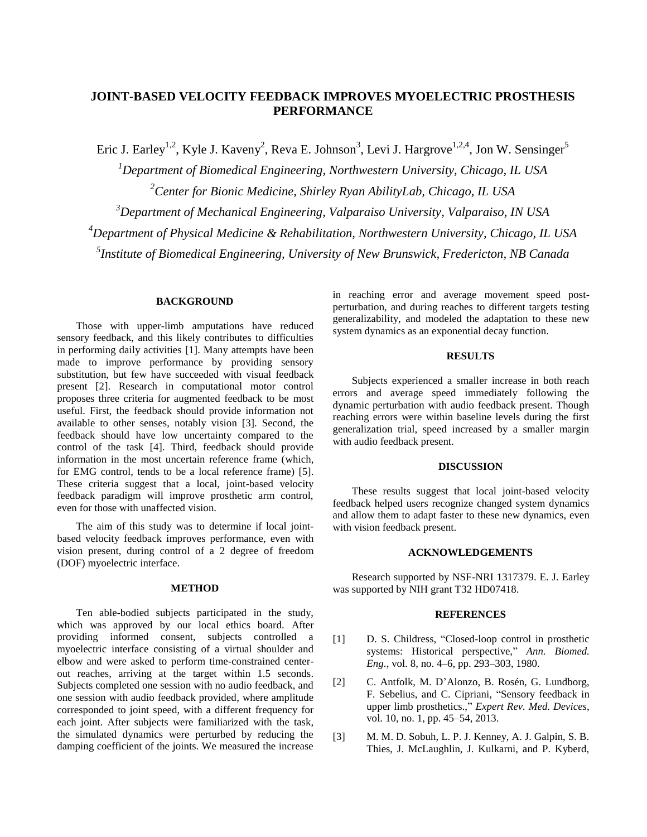# **JOINT-BASED VELOCITY FEEDBACK IMPROVES MYOELECTRIC PROSTHESIS PERFORMANCE**

Eric J. Earley<sup>1,2</sup>, Kyle J. Kaveny<sup>2</sup>, Reva E. Johnson<sup>3</sup>, Levi J. Hargrove<sup>1,2,4</sup>, Jon W. Sensinger<sup>5</sup>

*Department of Biomedical Engineering, Northwestern University, Chicago, IL USA Center for Bionic Medicine, Shirley Ryan AbilityLab, Chicago, IL USA Department of Mechanical Engineering, Valparaiso University, Valparaiso, IN USA Department of Physical Medicine & Rehabilitation, Northwestern University, Chicago, IL USA Institute of Biomedical Engineering, University of New Brunswick, Fredericton, NB Canada*

#### **BACKGROUND**

Those with upper-limb amputations have reduced sensory feedback, and this likely contributes to difficulties in performing daily activities [1]. Many attempts have been made to improve performance by providing sensory substitution, but few have succeeded with visual feedback present [2]. Research in computational motor control proposes three criteria for augmented feedback to be most useful. First, the feedback should provide information not available to other senses, notably vision [3]. Second, the feedback should have low uncertainty compared to the control of the task [4]. Third, feedback should provide information in the most uncertain reference frame (which, for EMG control, tends to be a local reference frame) [5]. These criteria suggest that a local, joint-based velocity feedback paradigm will improve prosthetic arm control, even for those with unaffected vision.

The aim of this study was to determine if local jointbased velocity feedback improves performance, even with vision present, during control of a 2 degree of freedom (DOF) myoelectric interface.

#### **METHOD**

Ten able-bodied subjects participated in the study, which was approved by our local ethics board. After providing informed consent, subjects controlled a myoelectric interface consisting of a virtual shoulder and elbow and were asked to perform time-constrained centerout reaches, arriving at the target within 1.5 seconds. Subjects completed one session with no audio feedback, and one session with audio feedback provided, where amplitude corresponded to joint speed, with a different frequency for each joint. After subjects were familiarized with the task, the simulated dynamics were perturbed by reducing the damping coefficient of the joints. We measured the increase

in reaching error and average movement speed postperturbation, and during reaches to different targets testing generalizability, and modeled the adaptation to these new system dynamics as an exponential decay function.

## **RESULTS**

Subjects experienced a smaller increase in both reach errors and average speed immediately following the dynamic perturbation with audio feedback present. Though reaching errors were within baseline levels during the first generalization trial, speed increased by a smaller margin with audio feedback present.

## **DISCUSSION**

These results suggest that local joint-based velocity feedback helped users recognize changed system dynamics and allow them to adapt faster to these new dynamics, even with vision feedback present.

# **ACKNOWLEDGEMENTS**

Research supported by NSF-NRI 1317379. E. J. Earley was supported by NIH grant T32 HD07418.

#### **REFERENCES**

- [1] D. S. Childress, "Closed-loop control in prosthetic systems: Historical perspective," *Ann. Biomed. Eng.*, vol. 8, no. 4–6, pp. 293–303, 1980.
- [2] C. Antfolk, M. D'Alonzo, B. Rosén, G. Lundborg, F. Sebelius, and C. Cipriani, "Sensory feedback in upper limb prosthetics.," *Expert Rev. Med. Devices*, vol. 10, no. 1, pp. 45–54, 2013.
- [3] M. M. D. Sobuh, L. P. J. Kenney, A. J. Galpin, S. B. Thies, J. McLaughlin, J. Kulkarni, and P. Kyberd,